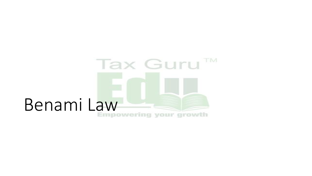# Tax Guru<sup>TM</sup> Benami Law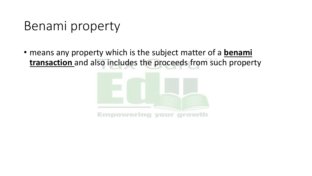# Benami property

• means any property which is the subject matter of a **benami transaction** and also includes the proceeds from such property

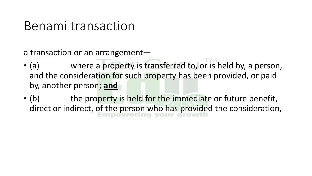### Benami transaction

a transaction or an arrangement—

- (a) where a property is transferred to, or is held by, a person, and the consideration for such property has been provided, or paid by, another person; **and**
- (b) the property is held for the immediate or future benefit, direct or indirect, of the person who has provided the consideration,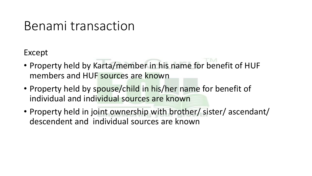### Benami transaction

Except

- Property held by Karta/member in his name for benefit of HUF members and HUF sources are known
- Property held by spouse/child in his/her name for benefit of individual and individual sources are known
- Property held in joint ownership with brother/ sister/ ascendant/ descendent and individual sources are known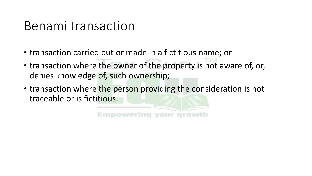### Benami transaction

- transaction carried out or made in a fictitious name; or
- transaction where the owner of the property is not aware of, or, denies knowledge of, such ownership;
- transaction where the person providing the consideration is not traceable or is fictitious.

Empowering your growth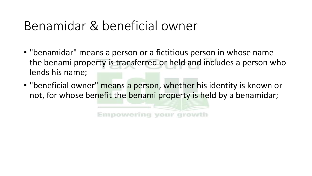# Benamidar & beneficial owner

- "benamidar" means a person or a fictitious person in whose name the benami property is transferred or held and includes a person who lends his name;
- "beneficial owner" means a person, whether his identity is known or not, for whose benefit the benami property is held by a benamidar;

Empowering your growth